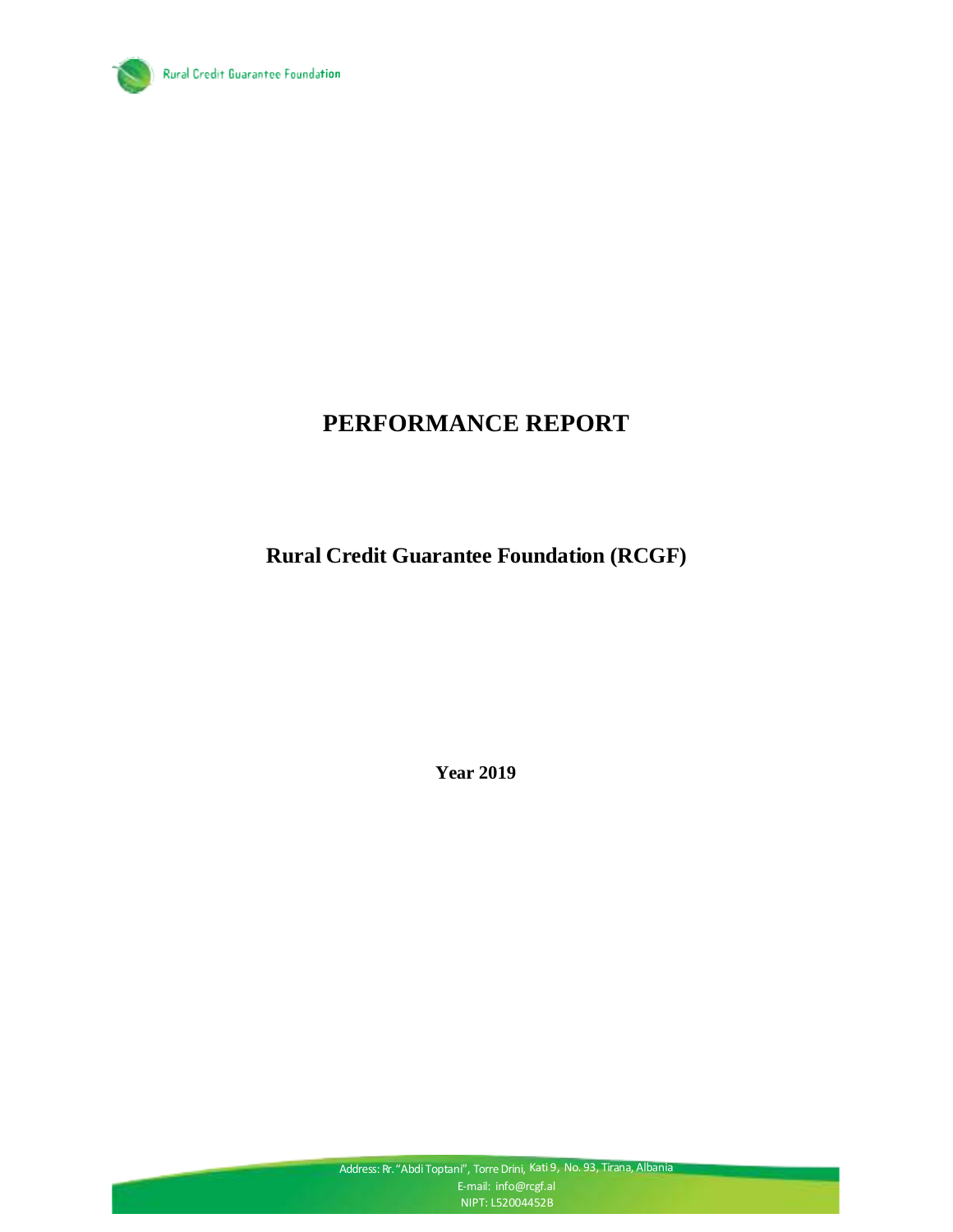

# **PERFORMANCE REPORT**

**Rural Credit Guarantee Foundation (RCGF)**

**Year 2019**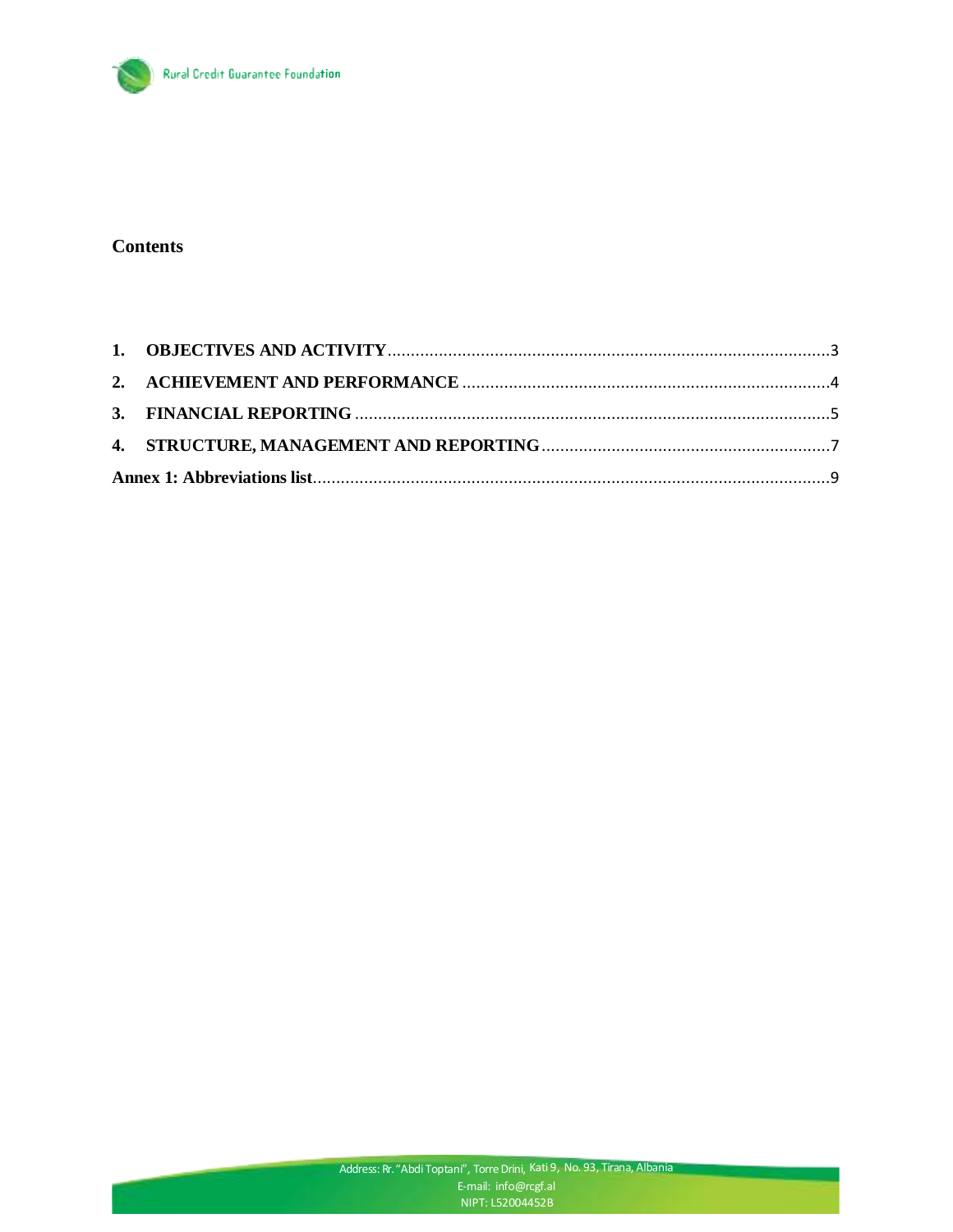

#### **Contents**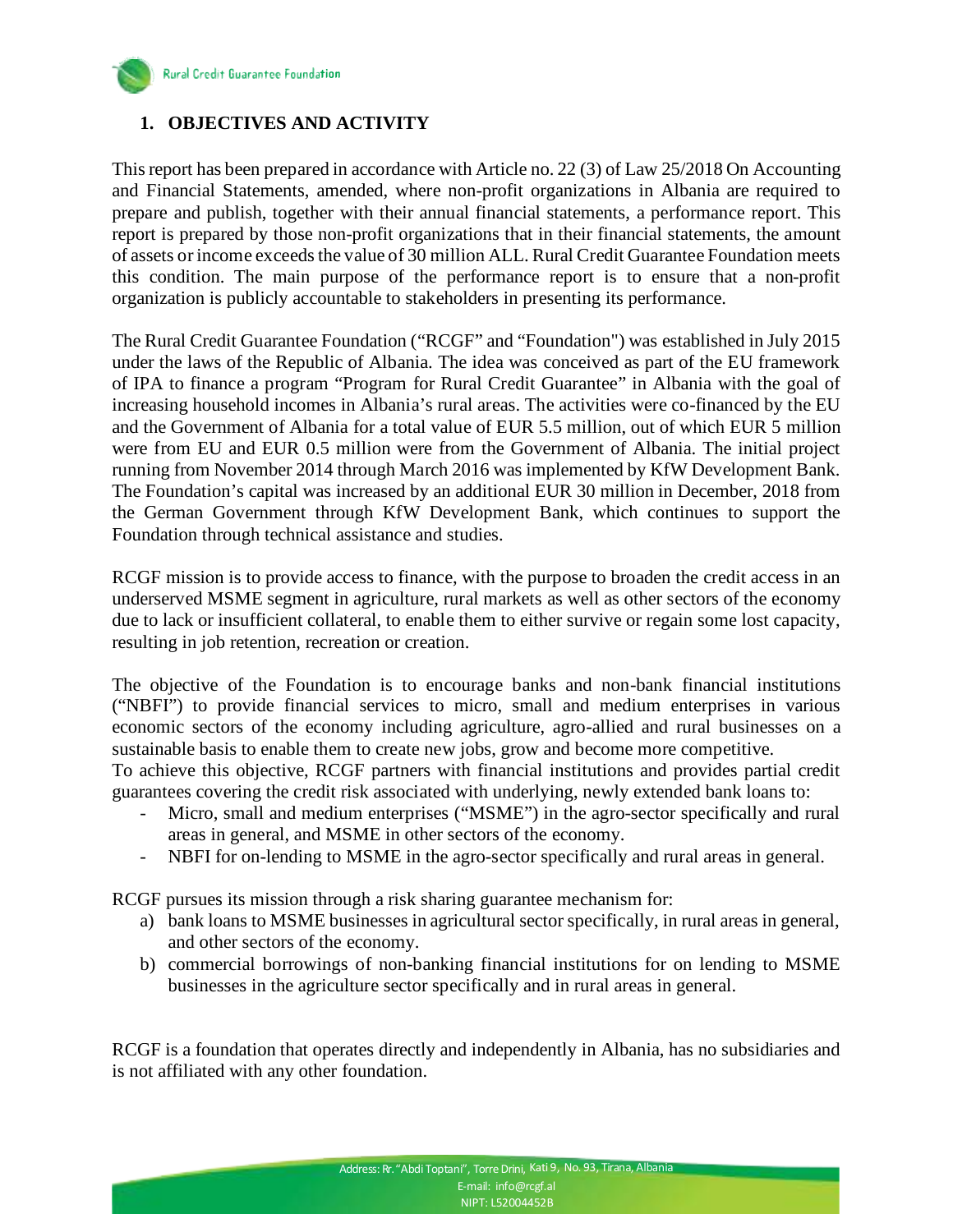

## <span id="page-2-0"></span>**1. OBJECTIVES AND ACTIVITY**

This report has been prepared in accordance with Article no. 22 (3) of Law 25/2018 On Accounting and Financial Statements, amended, where non-profit organizations in Albania are required to prepare and publish, together with their annual financial statements, a performance report. This report is prepared by those non-profit organizations that in their financial statements, the amount of assets or income exceeds the value of 30 million ALL. Rural Credit Guarantee Foundation meets this condition. The main purpose of the performance report is to ensure that a non-profit organization is publicly accountable to stakeholders in presenting its performance.

The Rural Credit Guarantee Foundation ("RCGF" and "Foundation") was established in July 2015 under the laws of the Republic of Albania. The idea was conceived as part of the EU framework of IPA to finance a program "Program for Rural Credit Guarantee" in Albania with the goal of increasing household incomes in Albania's rural areas. The activities were co-financed by the EU and the Government of Albania for a total value of EUR 5.5 million, out of which EUR 5 million were from EU and EUR 0.5 million were from the Government of Albania. The initial project running from November 2014 through March 2016 was implemented by KfW Development Bank. The Foundation's capital was increased by an additional EUR 30 million in December, 2018 from the German Government through KfW Development Bank, which continues to support the Foundation through technical assistance and studies.

RCGF mission is to provide access to finance, with the purpose to broaden the credit access in an underserved MSME segment in agriculture, rural markets as well as other sectors of the economy due to lack or insufficient collateral, to enable them to either survive or regain some lost capacity, resulting in job retention, recreation or creation.

The objective of the Foundation is to encourage banks and non-bank financial institutions ("NBFI") to provide financial services to micro, small and medium enterprises in various economic sectors of the economy including agriculture, agro-allied and rural businesses on a sustainable basis to enable them to create new jobs, grow and become more competitive.

To achieve this objective, RCGF partners with financial institutions and provides partial credit guarantees covering the credit risk associated with underlying, newly extended bank loans to:

- Micro, small and medium enterprises ("MSME") in the agro-sector specifically and rural areas in general, and MSME in other sectors of the economy.
- NBFI for on-lending to MSME in the agro-sector specifically and rural areas in general.

RCGF pursues its mission through a risk sharing guarantee mechanism for:

- a) bank loans to MSME businesses in agricultural sector specifically, in rural areas in general, and other sectors of the economy.
- b) commercial borrowings of non-banking financial institutions for on lending to MSME businesses in the agriculture sector specifically and in rural areas in general.

RCGF is a foundation that operates directly and independently in Albania, has no subsidiaries and is not affiliated with any other foundation.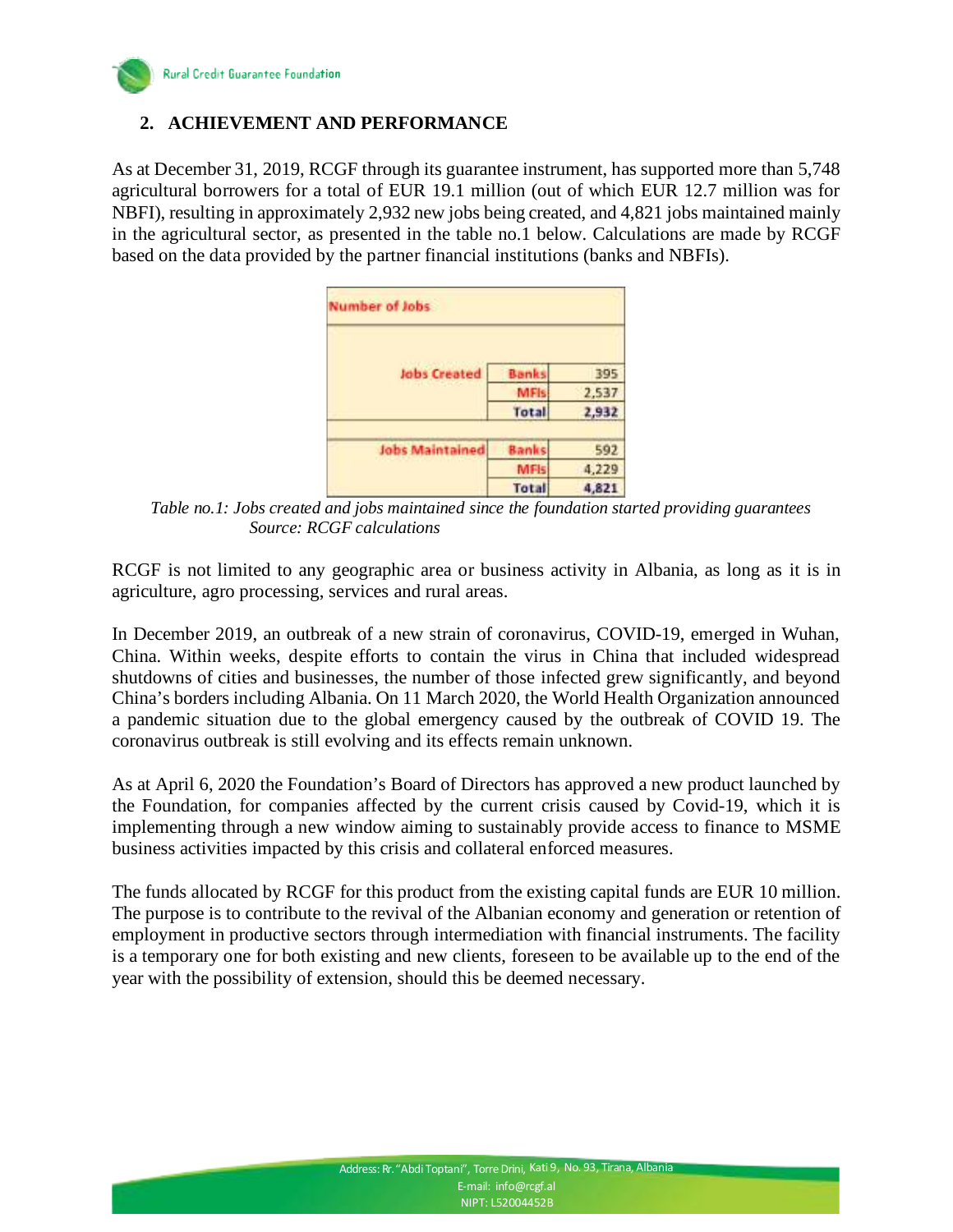

## <span id="page-3-0"></span>**2. ACHIEVEMENT AND PERFORMANCE**

As at December 31, 2019, RCGF through its guarantee instrument, has supported more than 5,748 agricultural borrowers for a total of EUR 19.1 million (out of which EUR 12.7 million was for NBFI), resulting in approximately 2,932 new jobs being created, and 4,821 jobs maintained mainly in the agricultural sector, as presented in the table no.1 below. Calculations are made by RCGF based on the data provided by the partner financial institutions (banks and NBFIs).

| <b>Number of Jobs</b>  |              |       |
|------------------------|--------------|-------|
| <b>Jobs Created</b>    | <b>Banks</b> | 395   |
|                        | <b>MFIs</b>  | 2,537 |
|                        | Total        | 2,932 |
| <b>Jobs Maintained</b> | <b>Banks</b> | 592   |
|                        | <b>MFIs</b>  | 4,229 |
|                        | <b>Total</b> | 4,821 |

 *Table no.1: Jobs created and jobs maintained since the foundation started providing guarantees Source: RCGF calculations* 

RCGF is not limited to any geographic area or business activity in Albania, as long as it is in agriculture, agro processing, services and rural areas.

In December 2019, an outbreak of a new strain of coronavirus, COVID-19, emerged in Wuhan, China. Within weeks, despite efforts to contain the virus in China that included widespread shutdowns of cities and businesses, the number of those infected grew significantly, and beyond China's borders including Albania. On 11 March 2020, the World Health Organization announced a pandemic situation due to the global emergency caused by the outbreak of COVID 19. The coronavirus outbreak is still evolving and its effects remain unknown.

As at April 6, 2020 the Foundation's Board of Directors has approved a new product launched by the Foundation, for companies affected by the current crisis caused by Covid-19, which it is implementing through a new window aiming to sustainably provide access to finance to MSME business activities impacted by this crisis and collateral enforced measures.

The funds allocated by RCGF for this product from the existing capital funds are EUR 10 million. The purpose is to contribute to the revival of the Albanian economy and generation or retention of employment in productive sectors through intermediation with financial instruments. The facility is a temporary one for both existing and new clients, foreseen to be available up to the end of the year with the possibility of extension, should this be deemed necessary.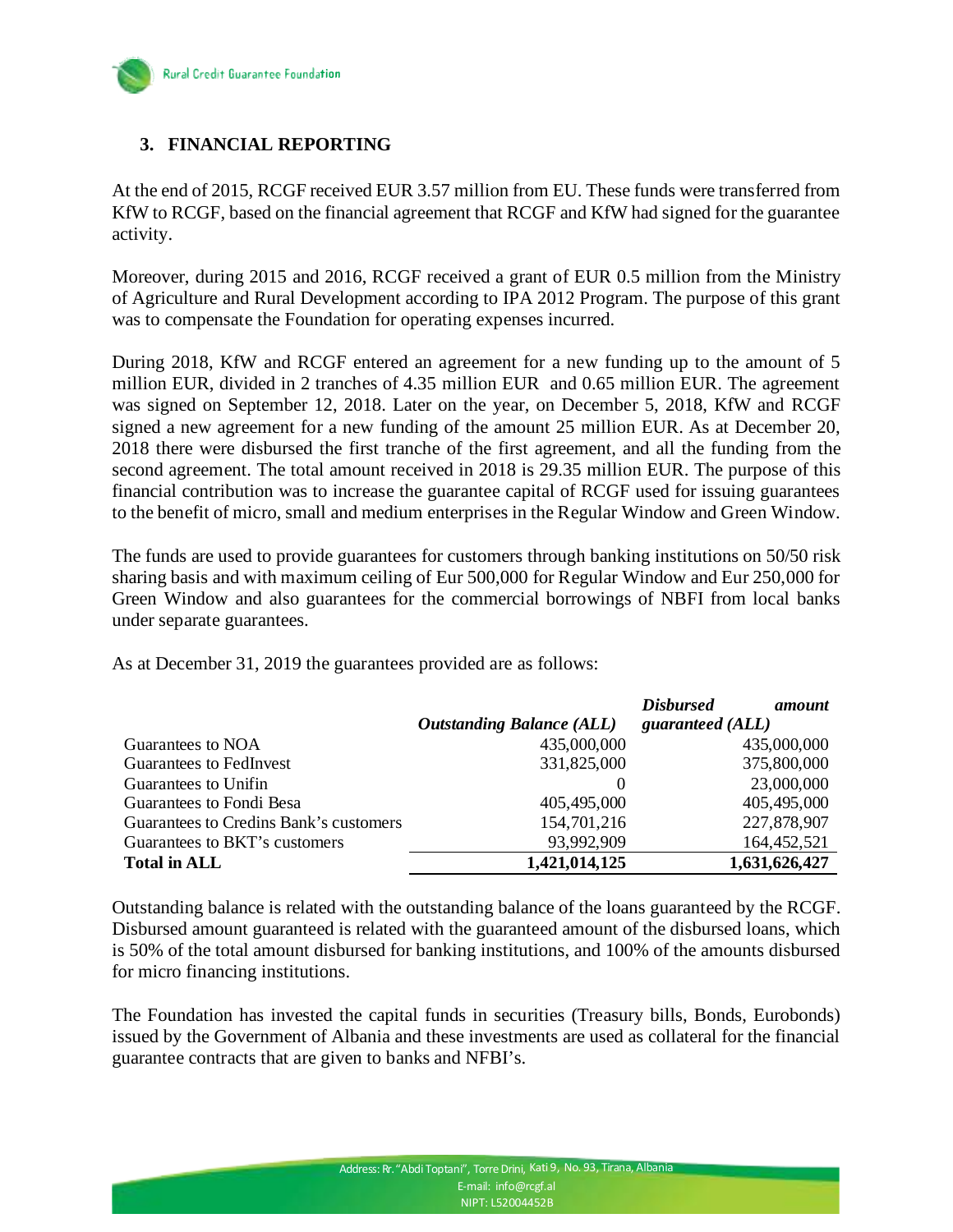

# <span id="page-4-0"></span>**3. FINANCIAL REPORTING**

At the end of 2015, RCGF received EUR 3.57 million from EU. These funds were transferred from KfW to RCGF, based on the financial agreement that RCGF and KfW had signed for the guarantee activity.

Moreover, during 2015 and 2016, RCGF received a grant of EUR 0.5 million from the Ministry of Agriculture and Rural Development according to IPA 2012 Program. The purpose of this grant was to compensate the Foundation for operating expenses incurred.

During 2018, KfW and RCGF entered an agreement for a new funding up to the amount of 5 million EUR, divided in 2 tranches of 4.35 million EUR and 0.65 million EUR. The agreement was signed on September 12, 2018. Later on the year, on December 5, 2018, KfW and RCGF signed a new agreement for a new funding of the amount 25 million EUR. As at December 20, 2018 there were disbursed the first tranche of the first agreement, and all the funding from the second agreement. The total amount received in 2018 is 29.35 million EUR. The purpose of this financial contribution was to increase the guarantee capital of RCGF used for issuing guarantees to the benefit of micro, small and medium enterprises in the Regular Window and Green Window.

The funds are used to provide guarantees for customers through banking institutions on 50/50 risk sharing basis and with maximum ceiling of Eur 500,000 for Regular Window and Eur 250,000 for Green Window and also guarantees for the commercial borrowings of NBFI from local banks under separate guarantees.

|                                        |                                  | <b>Disbursed</b><br>amount |
|----------------------------------------|----------------------------------|----------------------------|
|                                        | <b>Outstanding Balance (ALL)</b> | guaranteed (ALL)           |
| Guarantees to NOA                      | 435,000,000                      | 435,000,000                |
| Guarantees to FedInvest                | 331,825,000                      | 375,800,000                |
| Guarantees to Unifin                   | $\theta$                         | 23,000,000                 |
| Guarantees to Fondi Besa               | 405,495,000                      | 405,495,000                |
| Guarantees to Credins Bank's customers | 154,701,216                      | 227,878,907                |
| Guarantees to BKT's customers          | 93,992,909                       | 164,452,521                |
| <b>Total in ALL</b>                    | 1,421,014,125                    | 1,631,626,427              |

As at December 31, 2019 the guarantees provided are as follows:

Outstanding balance is related with the outstanding balance of the loans guaranteed by the RCGF. Disbursed amount guaranteed is related with the guaranteed amount of the disbursed loans, which is 50% of the total amount disbursed for banking institutions, and 100% of the amounts disbursed for micro financing institutions.

The Foundation has invested the capital funds in securities (Treasury bills, Bonds, Eurobonds) issued by the Government of Albania and these investments are used as collateral for the financial guarantee contracts that are given to banks and NFBI's.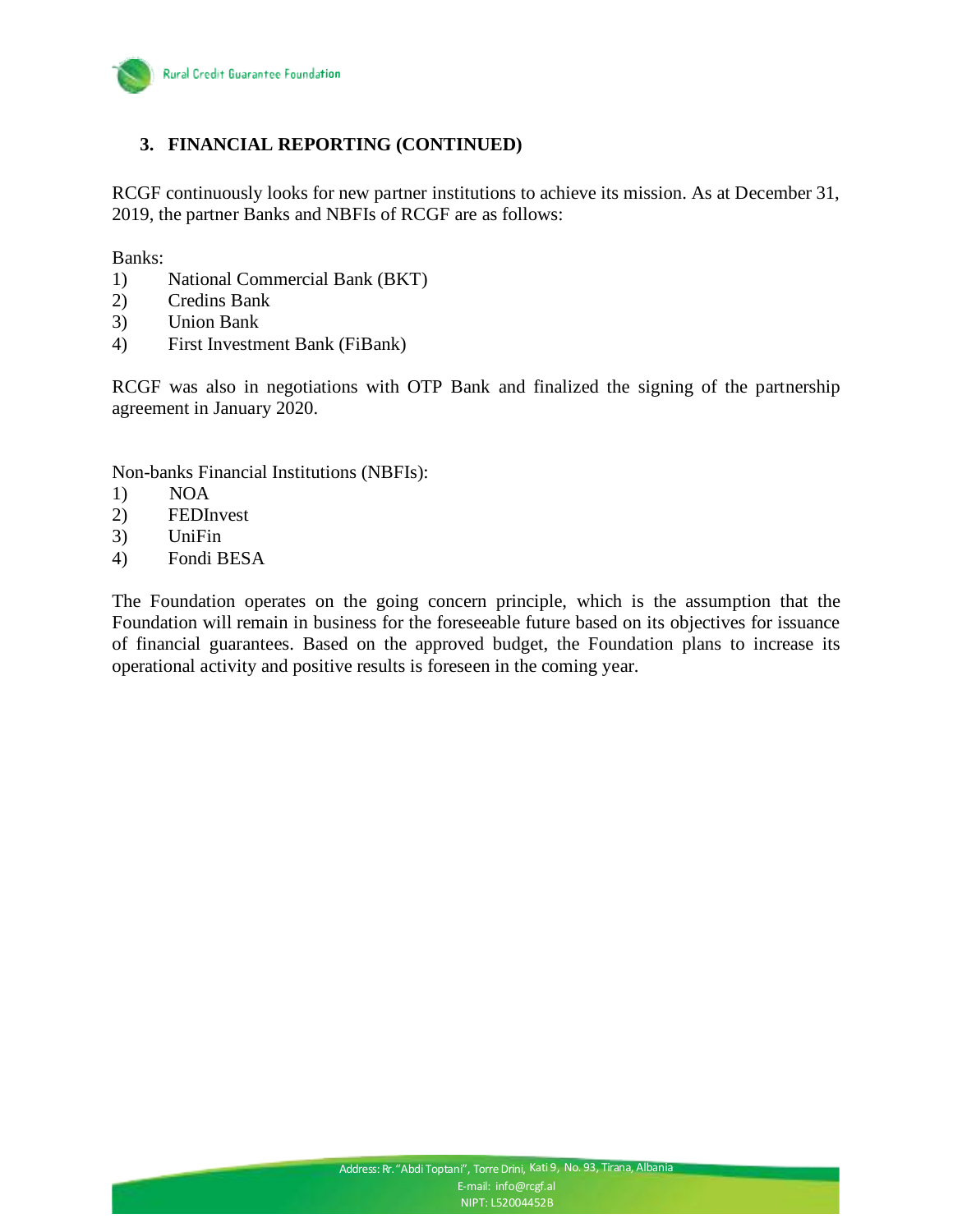

## **3. FINANCIAL REPORTING (CONTINUED)**

RCGF continuously looks for new partner institutions to achieve its mission. As at December 31, 2019, the partner Banks and NBFIs of RCGF are as follows:

Banks:

- 1) National Commercial Bank (BKT)
- 2) Credins Bank
- 3) Union Bank
- 4) First Investment Bank (FiBank)

RCGF was also in negotiations with OTP Bank and finalized the signing of the partnership agreement in January 2020.

Non-banks Financial Institutions (NBFIs):

- 1) NOA
- 2) FEDInvest
- 3) UniFin
- 4) Fondi BESA

The Foundation operates on the going concern principle, which is the assumption that the Foundation will remain in business for the foreseeable future based on its objectives for issuance of financial guarantees. Based on the approved budget, the Foundation plans to increase its operational activity and positive results is foreseen in the coming year.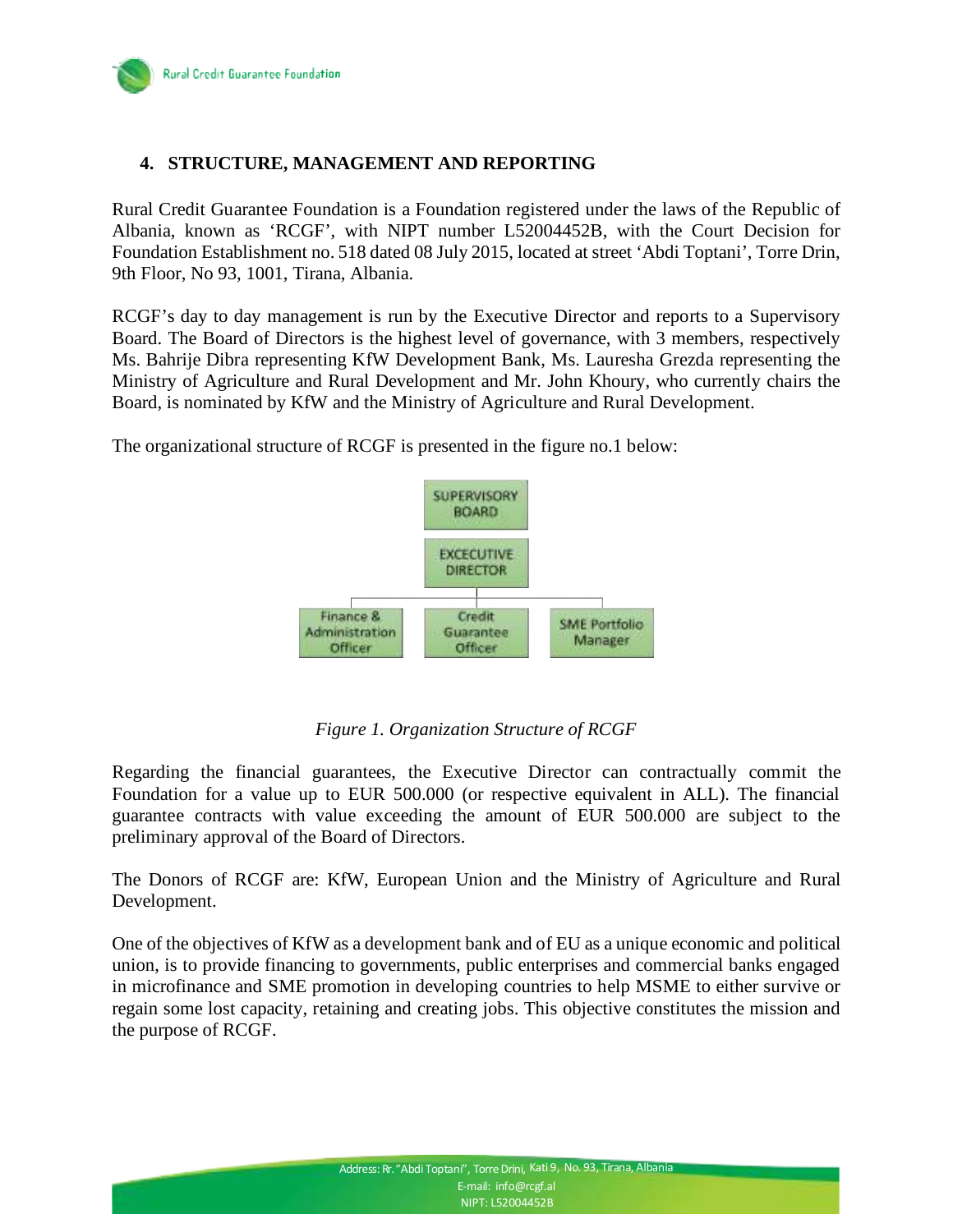Rural Credit Guarantee Foundation

#### <span id="page-6-0"></span>**4. STRUCTURE, MANAGEMENT AND REPORTING**

Rural Credit Guarantee Foundation is a Foundation registered under the laws of the Republic of Albania, known as 'RCGF', with NIPT number L52004452B, with the Court Decision for Foundation Establishment no. 518 dated 08 July 2015, located at street 'Abdi Toptani', Torre Drin, 9th Floor, No 93, 1001, Tirana, Albania.

RCGF's day to day management is run by the Executive Director and reports to a Supervisory Board. The Board of Directors is the highest level of governance, with 3 members, respectively Ms. Bahrije Dibra representing KfW Development Bank, Ms. Lauresha Grezda representing the Ministry of Agriculture and Rural Development and Mr. John Khoury, who currently chairs the Board, is nominated by KfW and the Ministry of Agriculture and Rural Development.

The organizational structure of RCGF is presented in the figure no.1 below:



#### *Figure 1. Organization Structure of RCGF*

Regarding the financial guarantees, the Executive Director can contractually commit the Foundation for a value up to EUR 500.000 (or respective equivalent in ALL). The financial guarantee contracts with value exceeding the amount of EUR 500.000 are subject to the preliminary approval of the Board of Directors.

The Donors of RCGF are: KfW, European Union and the Ministry of Agriculture and Rural Development.

One of the objectives of KfW as a development bank and of EU as a unique economic and political union, is to provide financing to governments, public enterprises and commercial banks engaged in microfinance and SME promotion in developing countries to help MSME to either survive or regain some lost capacity, retaining and creating jobs. This objective constitutes the mission and the purpose of RCGF.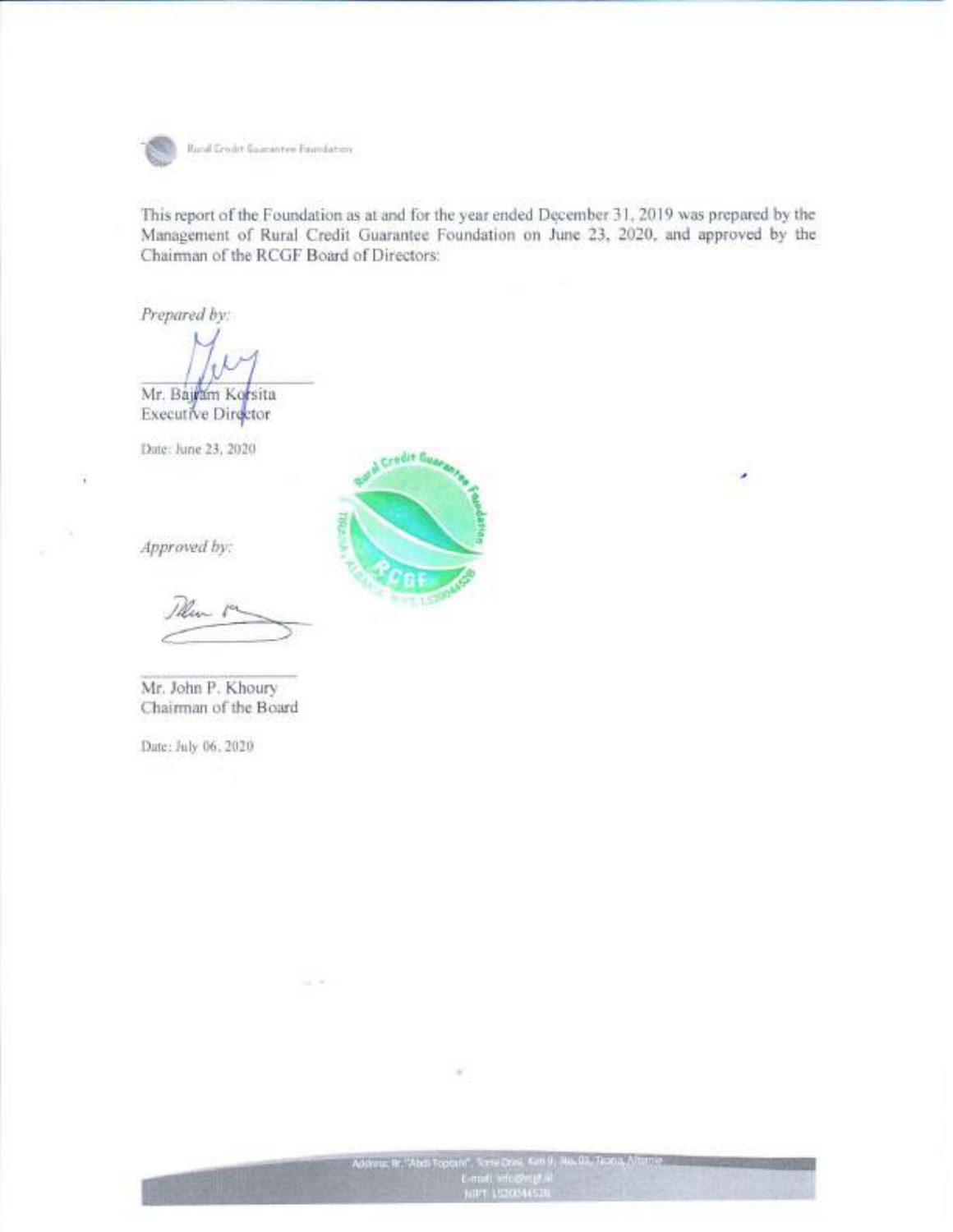

Rund Grodst Guarantee Essedation

This report of the Foundation as at and for the year ended December 31, 2019 was prepared by the Management of Rural Credit Guarantee Foundation on June 23, 2020, and approved by the Chairman of the RCGF Board of Directors:

Prepared by:

Mr. Bajram Korsita **Executive Director** 

Date: June 23, 2020



Approved by:

Mr. John P. Khoury Chairman of the Board

Date: July 06, 2020